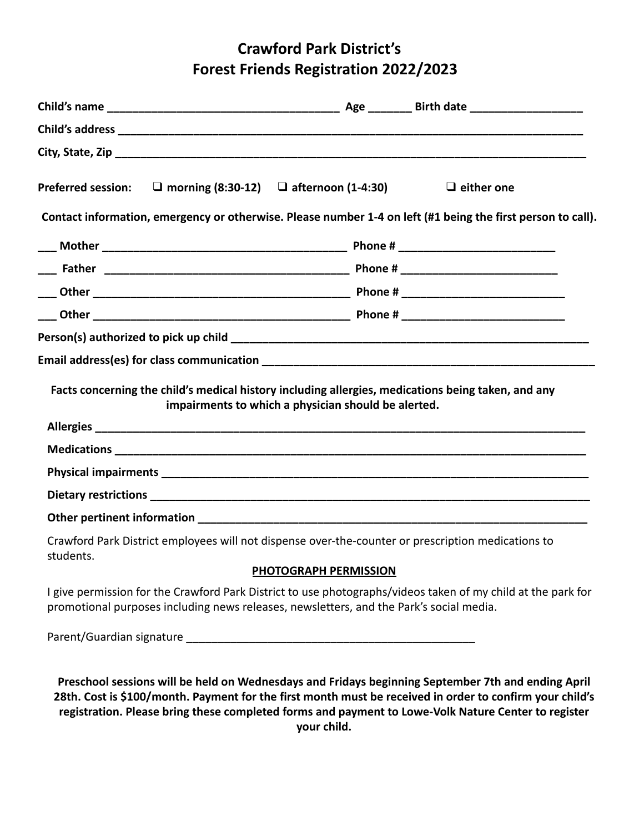# **Crawford Park District's Forest Friends Registration 2022/2023**

| Preferred session: $\Box$ morning (8:30-12) $\Box$ afternoon (1-4:30) |                                                                                         | $\Box$ either one                                                                                                                                                                                                                                                                                                     |
|-----------------------------------------------------------------------|-----------------------------------------------------------------------------------------|-----------------------------------------------------------------------------------------------------------------------------------------------------------------------------------------------------------------------------------------------------------------------------------------------------------------------|
|                                                                       |                                                                                         | Contact information, emergency or otherwise. Please number 1-4 on left (#1 being the first person to call).                                                                                                                                                                                                           |
|                                                                       |                                                                                         |                                                                                                                                                                                                                                                                                                                       |
|                                                                       |                                                                                         |                                                                                                                                                                                                                                                                                                                       |
|                                                                       |                                                                                         |                                                                                                                                                                                                                                                                                                                       |
|                                                                       |                                                                                         |                                                                                                                                                                                                                                                                                                                       |
|                                                                       |                                                                                         |                                                                                                                                                                                                                                                                                                                       |
|                                                                       |                                                                                         |                                                                                                                                                                                                                                                                                                                       |
|                                                                       | impairments to which a physician should be alerted.                                     |                                                                                                                                                                                                                                                                                                                       |
|                                                                       |                                                                                         |                                                                                                                                                                                                                                                                                                                       |
|                                                                       |                                                                                         |                                                                                                                                                                                                                                                                                                                       |
|                                                                       |                                                                                         |                                                                                                                                                                                                                                                                                                                       |
|                                                                       |                                                                                         |                                                                                                                                                                                                                                                                                                                       |
| students.                                                             |                                                                                         | Crawford Park District employees will not dispense over-the-counter or prescription medications to                                                                                                                                                                                                                    |
|                                                                       | PHOTOGRAPH PERMISSION                                                                   |                                                                                                                                                                                                                                                                                                                       |
|                                                                       | promotional purposes including news releases, newsletters, and the Park's social media. | I give permission for the Crawford Park District to use photographs/videos taken of my child at the park for                                                                                                                                                                                                          |
|                                                                       |                                                                                         |                                                                                                                                                                                                                                                                                                                       |
|                                                                       |                                                                                         | Preschool sessions will be held on Wednesdays and Fridays beginning September 7th and ending April<br>28th. Cost is \$100/month. Payment for the first month must be received in order to confirm your child's<br>registration. Please bring these completed forms and payment to Lowe-Volk Nature Center to register |

**your child.**